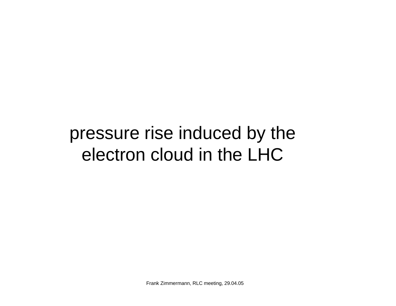# pressure rise induced by the electron cloud in the LHC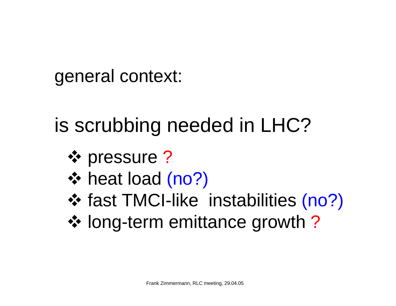# general context:

# is scrubbing needed in LHC?

- **❖** pressure ?
- ❖ heat load (no?)
- ❖ fast TMCI-like instabilities (no?)
- long-term emittance growth ?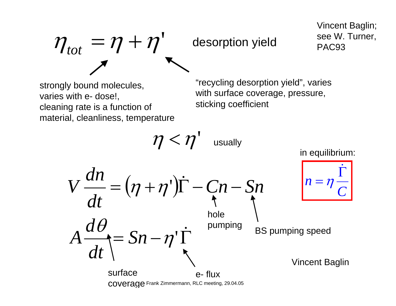# $\eta_{tot} = \eta + \eta'$  desorption yield see W. Turner,

Vincent Baglin;

strongly bound molecules, varies with e- dose!, cleaning rate is a function of material, cleanliness, temperature "recycling desorption yield", varies with surface coverage, pressure, sticking coefficient

 $\eta < \eta'$  usually  $\left( \eta + \eta^{\cdot} \right)$  $=$   $Sn - n<sup>'</sup>$   $\Gamma$  $=(n + n')\Gamma - Cn \bullet$ &' $\eta$ ' $(\eta + \eta')\Gamma - Cn - Sn$ θ *Sn dt d A dt dn V* BS pumping speed hole pumping Vincent Baglin *Cn*Γ=& $\boldsymbol{\eta}$ in equilibrium: surfacecoverage Frank Zimmermann, RLC meeting, 29.04.05 e- flux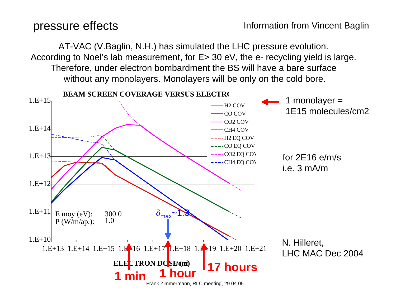AT-VAC (V.Baglin, N.H.) has simulated the LHC pressure evolution. According to Noel's lab measurement, for E> 30 eV, the e- recycling yield is large. Therefore, under electron bombardment the BS will have a bare surface without any monolayers. Monolayers will be only on the cold bore.

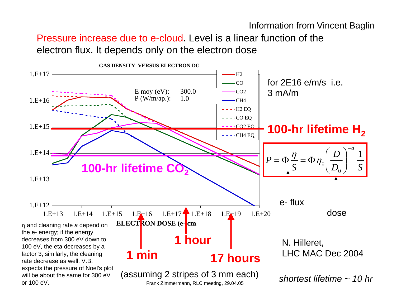Information from Vincent Baglin

## Pressure increase due to e-cloud. Level is a linear function of the electron flux. It depends only on the electron dose

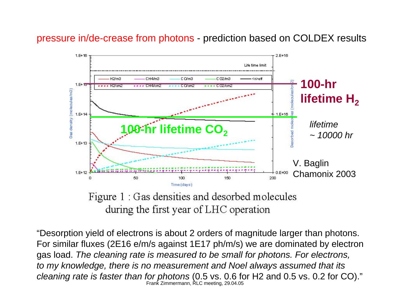### pressure in/de-crease from photons - prediction based on COLDEX results



during the first year of LHC operation

Frank Zimmermann, RLC meeting, 29.04.05 "Desorption yield of electrons is about 2 orders of magnitude larger than photons. For similar fluxes (2E16 e/m/s against 1E17 ph/m/s) we are dominated by electron gas load. *The cleaning rate is measured to be small for photons. For electrons, to my knowledge, there is no measurement and Noel always assumed that its cleaning rate is faster than for photons* (0.5 vs. 0.6 for H2 and 0.5 vs. 0.2 for CO)."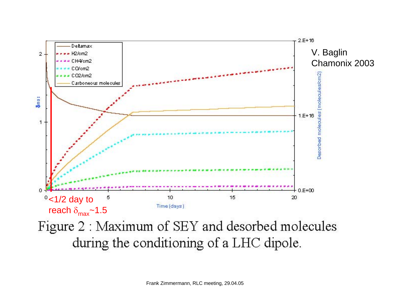